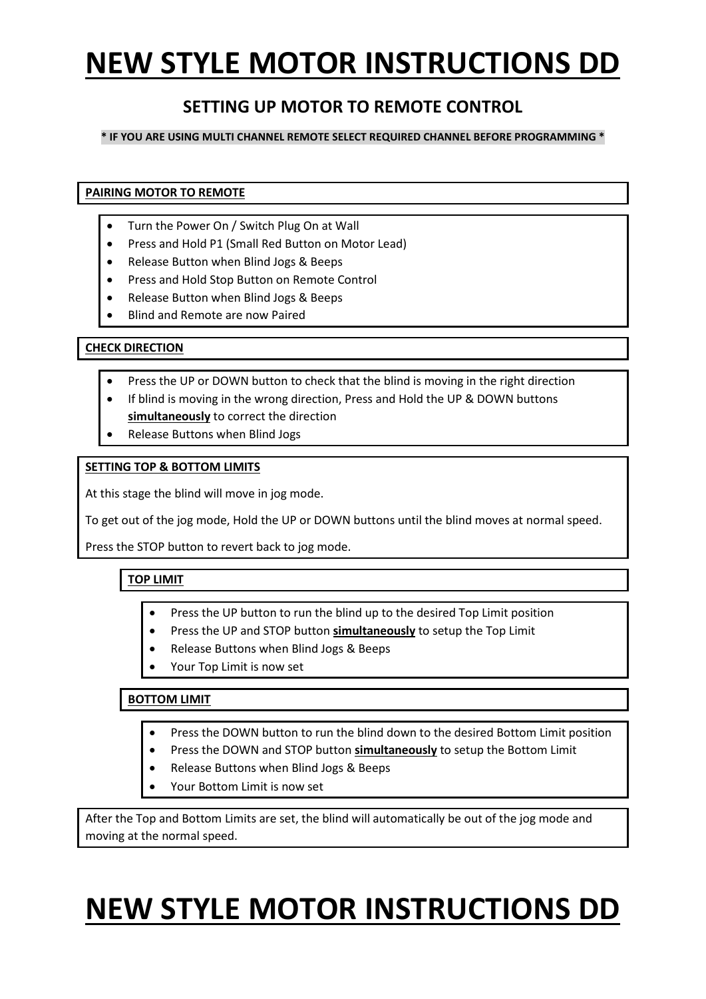## **NEW STYLE MOTOR INSTRUCTIONS DD**

### **SETTING UP MOTOR TO REMOTE CONTROL**

#### **\* IF YOU ARE USING MULTI CHANNEL REMOTE SELECT REQUIRED CHANNEL BEFORE PROGRAMMING \***

**PAIRING MOTOR TO REMOTE**

- Turn the Power On / Switch Plug On at Wall
- Press and Hold P1 (Small Red Button on Motor Lead)
- Release Button when Blind Jogs & Beeps
- Press and Hold Stop Button on Remote Control
- Release Button when Blind Jogs & Beeps
- Blind and Remote are now Paired

#### **CHECK DIRECTION**

- Press the UP or DOWN button to check that the blind is moving in the right direction
- If blind is moving in the wrong direction, Press and Hold the UP & DOWN buttons **simultaneously** to correct the direction
- Release Buttons when Blind Jogs

#### **SETTING TOP & BOTTOM LIMITS**

At this stage the blind will move in jog mode.

To get out of the jog mode, Hold the UP or DOWN buttons until the blind moves at normal speed.

Press the STOP button to revert back to jog mode.

#### **TOP LIMIT**

- Press the UP button to run the blind up to the desired Top Limit position
- Press the UP and STOP button **simultaneously** to setup the Top Limit
- Release Buttons when Blind Jogs & Beeps
- Your Top Limit is now set

#### **BOTTOM LIMIT**

- Press the DOWN button to run the blind down to the desired Bottom Limit position
- Press the DOWN and STOP button **simultaneously** to setup the Bottom Limit
- Release Buttons when Blind Jogs & Beeps
- Your Bottom Limit is now set

After the Top and Bottom Limits are set, the blind will automatically be out of the jog mode and moving at the normal speed.

# **NEW STYLE MOTOR INSTRUCTIONS DD**